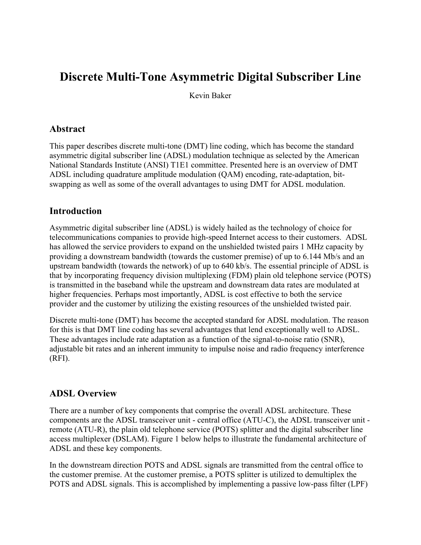# **Discrete Multi-Tone Asymmetric Digital Subscriber Line**

Kevin Baker

#### **Abstract**

This paper describes discrete multi-tone (DMT) line coding, which has become the standard asymmetric digital subscriber line (ADSL) modulation technique as selected by the American National Standards Institute (ANSI) T1E1 committee. Presented here is an overview of DMT ADSL including quadrature amplitude modulation (QAM) encoding, rate-adaptation, bitswapping as well as some of the overall advantages to using DMT for ADSL modulation.

### **Introduction**

Asymmetric digital subscriber line (ADSL) is widely hailed as the technology of choice for telecommunications companies to provide high-speed Internet access to their customers. ADSL has allowed the service providers to expand on the unshielded twisted pairs 1 MHz capacity by providing a downstream bandwidth (towards the customer premise) of up to 6.144 Mb/s and an upstream bandwidth (towards the network) of up to 640 kb/s. The essential principle of ADSL is that by incorporating frequency division multiplexing (FDM) plain old telephone service (POTS) is transmitted in the baseband while the upstream and downstream data rates are modulated at higher frequencies. Perhaps most importantly, ADSL is cost effective to both the service provider and the customer by utilizing the existing resources of the unshielded twisted pair.

Discrete multi-tone (DMT) has become the accepted standard for ADSL modulation. The reason for this is that DMT line coding has several advantages that lend exceptionally well to ADSL. These advantages include rate adaptation as a function of the signal-to-noise ratio (SNR), adjustable bit rates and an inherent immunity to impulse noise and radio frequency interference (RFI).

#### **ADSL Overview**

There are a number of key components that comprise the overall ADSL architecture. These components are the ADSL transceiver unit - central office (ATU-C), the ADSL transceiver unit remote (ATU-R), the plain old telephone service (POTS) splitter and the digital subscriber line access multiplexer (DSLAM). Figure 1 below helps to illustrate the fundamental architecture of ADSL and these key components.

In the downstream direction POTS and ADSL signals are transmitted from the central office to the customer premise. At the customer premise, a POTS splitter is utilized to demultiplex the POTS and ADSL signals. This is accomplished by implementing a passive low-pass filter (LPF)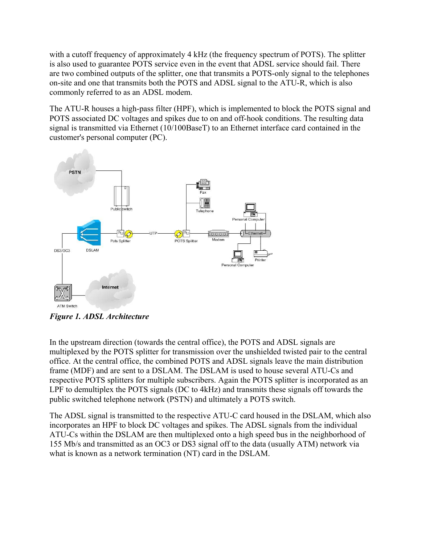with a cutoff frequency of approximately 4 kHz (the frequency spectrum of POTS). The splitter is also used to guarantee POTS service even in the event that ADSL service should fail. There are two combined outputs of the splitter, one that transmits a POTS-only signal to the telephones on-site and one that transmits both the POTS and ADSL signal to the ATU-R, which is also commonly referred to as an ADSL modem.

The ATU-R houses a high-pass filter (HPF), which is implemented to block the POTS signal and POTS associated DC voltages and spikes due to on and off-hook conditions. The resulting data signal is transmitted via Ethernet (10/100BaseT) to an Ethernet interface card contained in the customer's personal computer (PC).



*Figure 1. ADSL Architecture*

In the upstream direction (towards the central office), the POTS and ADSL signals are multiplexed by the POTS splitter for transmission over the unshielded twisted pair to the central office. At the central office, the combined POTS and ADSL signals leave the main distribution frame (MDF) and are sent to a DSLAM. The DSLAM is used to house several ATU-Cs and respective POTS splitters for multiple subscribers. Again the POTS splitter is incorporated as an LPF to demultiplex the POTS signals (DC to 4kHz) and transmits these signals off towards the public switched telephone network (PSTN) and ultimately a POTS switch.

The ADSL signal is transmitted to the respective ATU-C card housed in the DSLAM, which also incorporates an HPF to block DC voltages and spikes. The ADSL signals from the individual ATU-Cs within the DSLAM are then multiplexed onto a high speed bus in the neighborhood of 155 Mb/s and transmitted as an OC3 or DS3 signal off to the data (usually ATM) network via what is known as a network termination (NT) card in the DSLAM.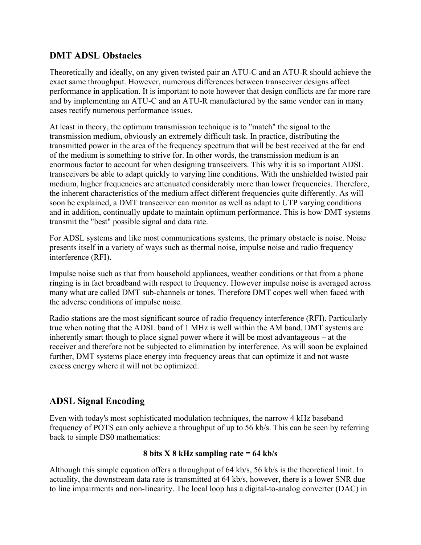## **DMT ADSL Obstacles**

Theoretically and ideally, on any given twisted pair an ATU-C and an ATU-R should achieve the exact same throughput. However, numerous differences between transceiver designs affect performance in application. It is important to note however that design conflicts are far more rare and by implementing an ATU-C and an ATU-R manufactured by the same vendor can in many cases rectify numerous performance issues.

At least in theory, the optimum transmission technique is to "match" the signal to the transmission medium, obviously an extremely difficult task. In practice, distributing the transmitted power in the area of the frequency spectrum that will be best received at the far end of the medium is something to strive for. In other words, the transmission medium is an enormous factor to account for when designing transceivers. This why it is so important ADSL transceivers be able to adapt quickly to varying line conditions. With the unshielded twisted pair medium, higher frequencies are attenuated considerably more than lower frequencies. Therefore, the inherent characteristics of the medium affect different frequencies quite differently. As will soon be explained, a DMT transceiver can monitor as well as adapt to UTP varying conditions and in addition, continually update to maintain optimum performance. This is how DMT systems transmit the "best" possible signal and data rate.

For ADSL systems and like most communications systems, the primary obstacle is noise. Noise presents itself in a variety of ways such as thermal noise, impulse noise and radio frequency interference (RFI).

Impulse noise such as that from household appliances, weather conditions or that from a phone ringing is in fact broadband with respect to frequency. However impulse noise is averaged across many what are called DMT sub-channels or tones. Therefore DMT copes well when faced with the adverse conditions of impulse noise.

Radio stations are the most significant source of radio frequency interference (RFI). Particularly true when noting that the ADSL band of 1 MHz is well within the AM band. DMT systems are inherently smart though to place signal power where it will be most advantageous – at the receiver and therefore not be subjected to elimination by interference. As will soon be explained further, DMT systems place energy into frequency areas that can optimize it and not waste excess energy where it will not be optimized.

## **ADSL Signal Encoding**

Even with today's most sophisticated modulation techniques, the narrow 4 kHz baseband frequency of POTS can only achieve a throughput of up to 56 kb/s. This can be seen by referring back to simple DS0 mathematics:

#### **8 bits X 8 kHz sampling rate = 64 kb/s**

Although this simple equation offers a throughput of 64 kb/s, 56 kb/s is the theoretical limit. In actuality, the downstream data rate is transmitted at 64 kb/s, however, there is a lower SNR due to line impairments and non-linearity. The local loop has a digital-to-analog converter (DAC) in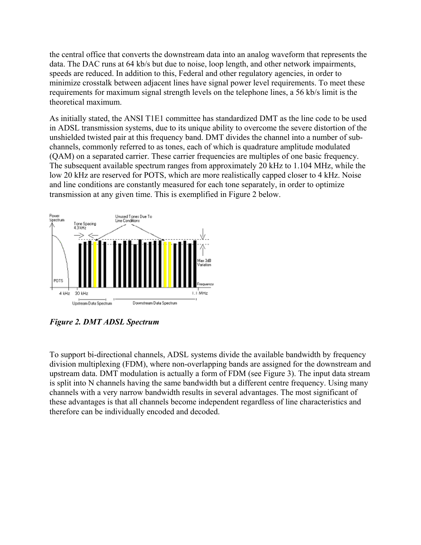the central office that converts the downstream data into an analog waveform that represents the data. The DAC runs at 64 kb/s but due to noise, loop length, and other network impairments, speeds are reduced. In addition to this, Federal and other regulatory agencies, in order to minimize crosstalk between adjacent lines have signal power level requirements. To meet these requirements for maximum signal strength levels on the telephone lines, a 56 kb/s limit is the theoretical maximum.

As initially stated, the ANSI T1E1 committee has standardized DMT as the line code to be used in ADSL transmission systems, due to its unique ability to overcome the severe distortion of the unshielded twisted pair at this frequency band. DMT divides the channel into a number of subchannels, commonly referred to as tones, each of which is quadrature amplitude modulated (QAM) on a separated carrier. These carrier frequencies are multiples of one basic frequency. The subsequent available spectrum ranges from approximately 20 kHz to 1.104 MHz, while the low 20 kHz are reserved for POTS, which are more realistically capped closer to 4 kHz. Noise and line conditions are constantly measured for each tone separately, in order to optimize transmission at any given time. This is exemplified in Figure 2 below.



*Figure 2. DMT ADSL Spectrum*

To support bi-directional channels, ADSL systems divide the available bandwidth by frequency division multiplexing (FDM), where non-overlapping bands are assigned for the downstream and upstream data. DMT modulation is actually a form of FDM (see Figure 3). The input data stream is split into N channels having the same bandwidth but a different centre frequency. Using many channels with a very narrow bandwidth results in several advantages. The most significant of these advantages is that all channels become independent regardless of line characteristics and therefore can be individually encoded and decoded.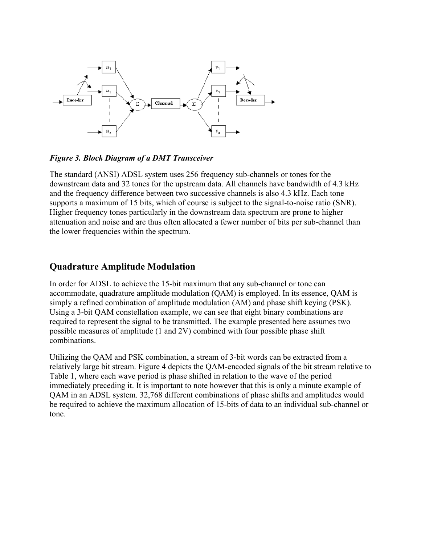

*Figure 3. Block Diagram of a DMT Transceiver*

The standard (ANSI) ADSL system uses 256 frequency sub-channels or tones for the downstream data and 32 tones for the upstream data. All channels have bandwidth of 4.3 kHz and the frequency difference between two successive channels is also 4.3 kHz. Each tone supports a maximum of 15 bits, which of course is subject to the signal-to-noise ratio (SNR). Higher frequency tones particularly in the downstream data spectrum are prone to higher attenuation and noise and are thus often allocated a fewer number of bits per sub-channel than the lower frequencies within the spectrum.

## **Quadrature Amplitude Modulation**

In order for ADSL to achieve the 15-bit maximum that any sub-channel or tone can accommodate, quadrature amplitude modulation (QAM) is employed. In its essence, QAM is simply a refined combination of amplitude modulation (AM) and phase shift keying (PSK). Using a 3-bit QAM constellation example, we can see that eight binary combinations are required to represent the signal to be transmitted. The example presented here assumes two possible measures of amplitude (1 and 2V) combined with four possible phase shift combinations.

Utilizing the QAM and PSK combination, a stream of 3-bit words can be extracted from a relatively large bit stream. Figure 4 depicts the QAM-encoded signals of the bit stream relative to Table 1, where each wave period is phase shifted in relation to the wave of the period immediately preceding it. It is important to note however that this is only a minute example of QAM in an ADSL system. 32,768 different combinations of phase shifts and amplitudes would be required to achieve the maximum allocation of 15-bits of data to an individual sub-channel or tone.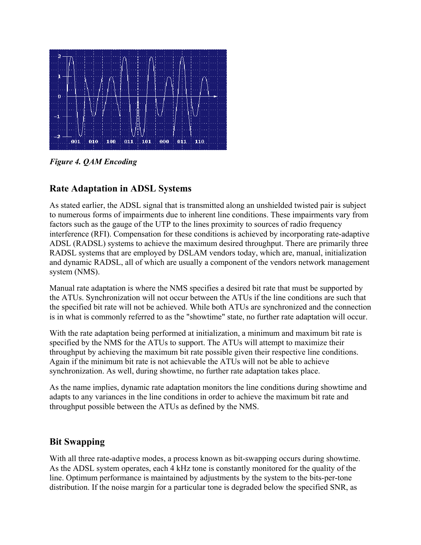

*Figure 4. QAM Encoding*

## **Rate Adaptation in ADSL Systems**

As stated earlier, the ADSL signal that is transmitted along an unshielded twisted pair is subject to numerous forms of impairments due to inherent line conditions. These impairments vary from factors such as the gauge of the UTP to the lines proximity to sources of radio frequency interference (RFI). Compensation for these conditions is achieved by incorporating rate-adaptive ADSL (RADSL) systems to achieve the maximum desired throughput. There are primarily three RADSL systems that are employed by DSLAM vendors today, which are, manual, initialization and dynamic RADSL, all of which are usually a component of the vendors network management system (NMS).

Manual rate adaptation is where the NMS specifies a desired bit rate that must be supported by the ATUs. Synchronization will not occur between the ATUs if the line conditions are such that the specified bit rate will not be achieved. While both ATUs are synchronized and the connection is in what is commonly referred to as the "showtime" state, no further rate adaptation will occur.

With the rate adaptation being performed at initialization, a minimum and maximum bit rate is specified by the NMS for the ATUs to support. The ATUs will attempt to maximize their throughput by achieving the maximum bit rate possible given their respective line conditions. Again if the minimum bit rate is not achievable the ATUs will not be able to achieve synchronization. As well, during showtime, no further rate adaptation takes place.

As the name implies, dynamic rate adaptation monitors the line conditions during showtime and adapts to any variances in the line conditions in order to achieve the maximum bit rate and throughput possible between the ATUs as defined by the NMS.

## **Bit Swapping**

With all three rate-adaptive modes, a process known as bit-swapping occurs during showtime. As the ADSL system operates, each 4 kHz tone is constantly monitored for the quality of the line. Optimum performance is maintained by adjustments by the system to the bits-per-tone distribution. If the noise margin for a particular tone is degraded below the specified SNR, as